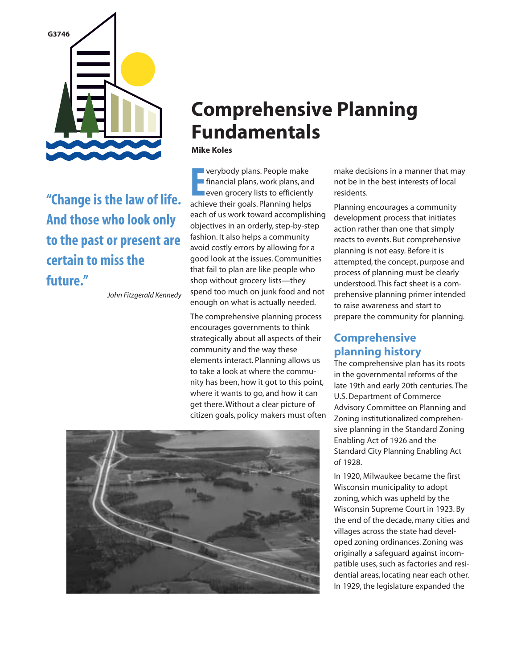

**"Change is the law of life. And those who look only to the past or present are certain to miss the future."**

*John Fitzgerald Kennedy* 

# **Comprehensive Planning Fundamentals**

#### **Mike Koles**

**Exercise of the Eliancial plans, work plans, and<br>
<b>E** financial plans, work plans, and<br> **EXECUTE ACCOMPTENT ACCOMPTENT**<br> **EXECUTE ACCOMPTENT**<br> **EXECUTE ACCOMPTENT**<br> **EXECUTE ACCOMPTENT**<br> **EXECUTE ACCOMPTENT**<br> **EXECUTE ACC** verybody plans. People make financial plans, work plans, and **Procers** lists to efficiently each of us work toward accomplishing objectives in an orderly, step-by-step fashion. It also helps a community avoid costly errors by allowing for a good look at the issues. Communities that fail to plan are like people who shop without grocery lists—they spend too much on junk food and not enough on what is actually needed.

The comprehensive planning process encourages governments to think strategically about all aspects of their community and the way these elements interact. Planning allows us to take a look at where the community has been, how it got to this point, where it wants to go, and how it can get there. Without a clear picture of citizen goals, policy makers must often



make decisions in a manner that may not be in the best interests of local residents.

Planning encourages a community development process that initiates action rather than one that simply reacts to events. But comprehensive planning is not easy. Before it is attempted, the concept, purpose and process of planning must be clearly understood. This fact sheet is a comprehensive planning primer intended to raise awareness and start to prepare the community for planning.

## **Comprehensive planning history**

The comprehensive plan has its roots in the governmental reforms of the late 19th and early 20th centuries. The U.S. Department of Commerce Advisory Committee on Planning and Zoning institutionalized comprehensive planning in the Standard Zoning Enabling Act of 1926 and the Standard City Planning Enabling Act of 1928.

In 1920, Milwaukee became the first Wisconsin municipality to adopt zoning, which was upheld by the Wisconsin Supreme Court in 1923. By the end of the decade, many cities and villages across the state had developed zoning ordinances. Zoning was originally a safeguard against incompatible uses, such as factories and residential areas, locating near each other. In 1929, the legislature expanded the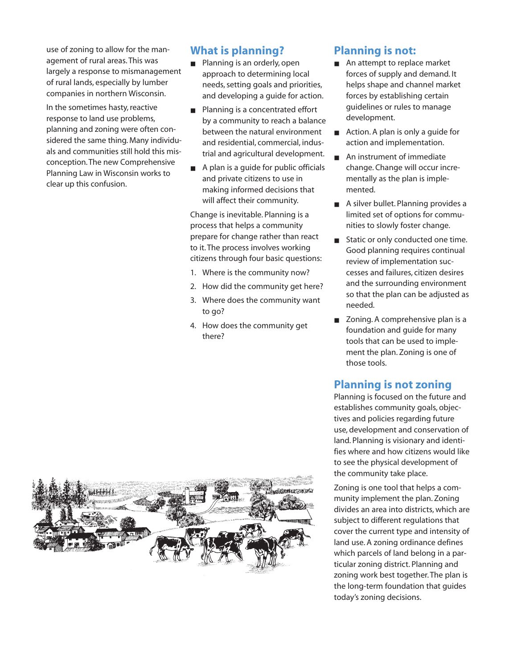use of zoning to allow for the management of rural areas. This was largely a response to mismanagement of rural lands, especially by lumber companies in northern Wisconsin.

In the sometimes hasty, reactive response to land use problems, planning and zoning were often considered the same thing. Many individuals and communities still hold this misconception. The new Comprehensive Planning Law in Wisconsin works to clear up this confusion.

## **What is planning?**

- Planning is an orderly, open approach to determining local needs, setting goals and priorities, and developing a guide for action.
- Planning is a concentrated effort by a community to reach a balance between the natural environment and residential, commercial, industrial and agricultural development.
- A plan is a guide for public officials and private citizens to use in making informed decisions that will affect their community.

Change is inevitable. Planning is a process that helps a community prepare for change rather than react to it. The process involves working citizens through four basic questions:

- 1. Where is the community now?
- 2. How did the community get here?
- 3. Where does the community want to go?
- 4. How does the community get there?

## **Planning is not:**

- An attempt to replace market forces of supply and demand. It helps shape and channel market forces by establishing certain guidelines or rules to manage development.
- Action. A plan is only a guide for action and implementation.
- An instrument of immediate change. Change will occur incrementally as the plan is implemented.
- A silver bullet. Planning provides a limited set of options for communities to slowly foster change.
- Static or only conducted one time. Good planning requires continual review of implementation successes and failures, citizen desires and the surrounding environment so that the plan can be adjusted as needed.
- Zoning. A comprehensive plan is a foundation and guide for many tools that can be used to implement the plan. Zoning is one of those tools.

### **Planning is not zoning**

Planning is focused on the future and establishes community goals, objectives and policies regarding future use, development and conservation of land. Planning is visionary and identifies where and how citizens would like to see the physical development of the community take place.

Zoning is one tool that helps a community implement the plan. Zoning divides an area into districts, which are subject to different regulations that cover the current type and intensity of land use. A zoning ordinance defines which parcels of land belong in a particular zoning district. Planning and zoning work best together. The plan is the long-term foundation that guides today's zoning decisions.

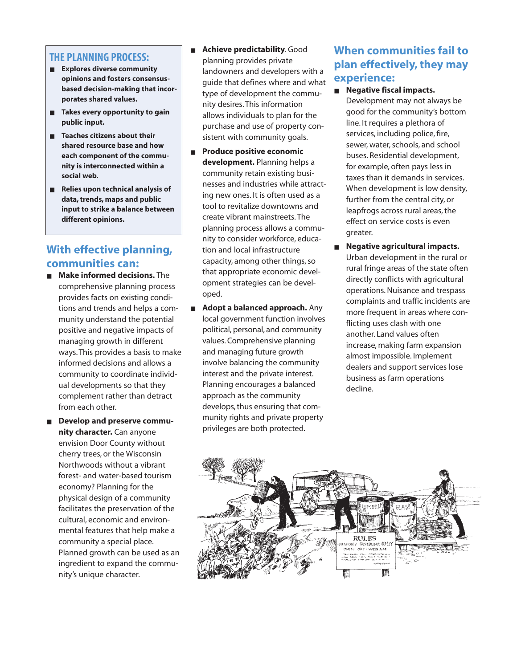#### **THE PLANNING PROCESS:**

- **Explores diverse community opinions and fosters consensusbased decision-making that incorporates shared values.**
- **Takes every opportunity to gain public input.**
- **Teaches citizens about their shared resource base and how each component of the community is interconnected within a social web.**
- **Relies upon technical analysis of data, trends, maps and public input to strike a balance between different opinions.**

## **With effective planning, communities can:**

- **Make informed decisions.** The comprehensive planning process provides facts on existing conditions and trends and helps a community understand the potential positive and negative impacts of managing growth in different ways. This provides a basis to make informed decisions and allows a community to coordinate individual developments so that they complement rather than detract from each other.
- **Develop and preserve community character.** Can anyone envision Door County without cherry trees, or the Wisconsin Northwoods without a vibrant forest- and water-based tourism economy? Planning for the physical design of a community facilitates the preservation of the cultural, economic and environmental features that help make a community a special place. Planned growth can be used as an ingredient to expand the community's unique character.
- **Achieve predictability**. Good planning provides private landowners and developers with a guide that defines where and what type of development the community desires. This information allows individuals to plan for the purchase and use of property consistent with community goals.
- **Produce positive economic development.** Planning helps a community retain existing businesses and industries while attracting new ones. It is often used as a tool to revitalize downtowns and create vibrant mainstreets. The planning process allows a community to consider workforce, education and local infrastructure capacity, among other things, so that appropriate economic development strategies can be developed.
- **Adopt a balanced approach.** Any local government function involves political, personal, and community values. Comprehensive planning and managing future growth involve balancing the community interest and the private interest. Planning encourages a balanced approach as the community develops, thus ensuring that community rights and private property privileges are both protected.

## **When communities fail to plan effectively, they may experience:**

- **Negative fiscal impacts.** Development may not always be good for the community's bottom line. It requires a plethora of services, including police, fire, sewer, water, schools, and school buses. Residential development, for example, often pays less in taxes than it demands in services. When development is low density, further from the central city, or leapfrogs across rural areas, the effect on service costs is even greater.
- **Negative agricultural impacts.** Urban development in the rural or rural fringe areas of the state often directly conflicts with agricultural operations. Nuisance and trespass complaints and traffic incidents are more frequent in areas where conflicting uses clash with one another. Land values often increase, making farm expansion almost impossible. Implement dealers and support services lose business as farm operations decline.